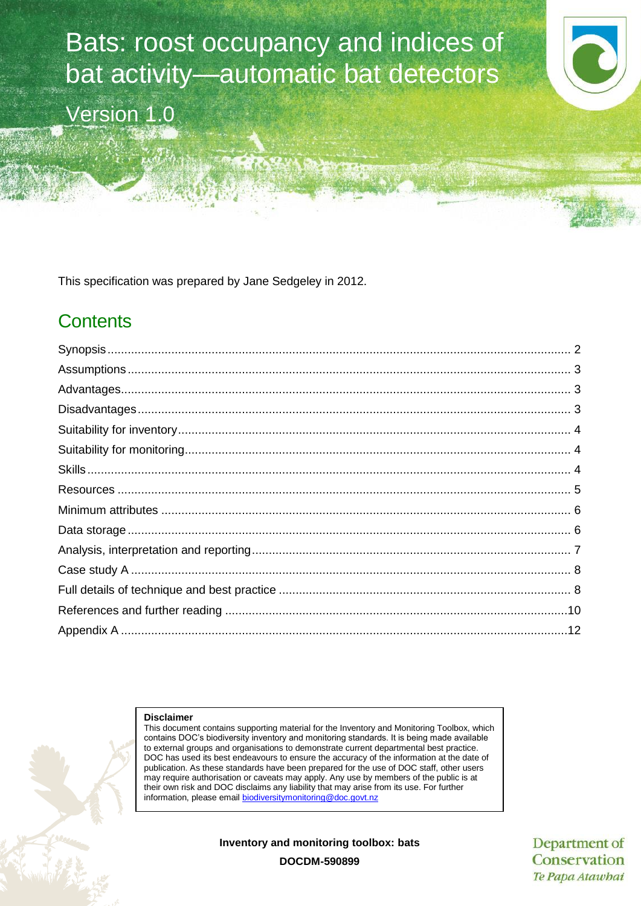Bats: roost occupancy and indices of bat activity—automatic bat detectors Version 1.0

This specification was prepared by Jane Sedgeley in 2012.

## **Contents**

#### **Disclaimer**

This document contains supporting material for the Inventory and Monitoring Toolbox, which contains DOC's biodiversity inventory and monitoring standards. It is being made available to external groups and organisations to demonstrate current departmental best practice. DOC has used its best endeavours to ensure the accuracy of the information at the date of publication. As these standards have been prepared for the use of DOC staff, other users may require authorisation or caveats may apply. Any use by members of the public is at their own risk and DOC disclaims any liability that may arise from its use. For further information, please email [biodiversitymonitoring@doc.govt.nz](mailto:biodiversitymonitoring@doc.govt.nz)

**Inventory and monitoring toolbox: bats**

Department of Conservation Te Papa Atawhai

**DOCDM-590899**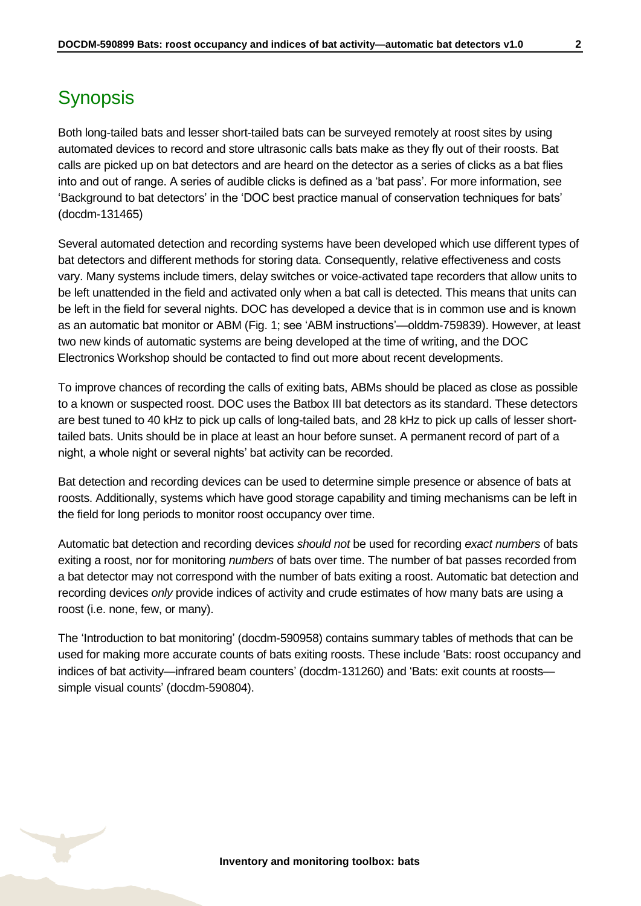## <span id="page-1-0"></span>**Synopsis**

Both long-tailed bats and lesser short-tailed bats can be surveyed remotely at roost sites by using automated devices to record and store ultrasonic calls bats make as they fly out of their roosts. Bat calls are picked up on bat detectors and are heard on the detector as a series of clicks as a bat flies into and out of range. A series of audible clicks is defined as a 'bat pass'. For more information, see 'Background to bat detectors' in the 'DOC best practice manual of conservation techniques for bats' (docdm-131465)

Several automated detection and recording systems have been developed which use different types of bat detectors and different methods for storing data. Consequently, relative effectiveness and costs vary. Many systems include timers, delay switches or voice-activated tape recorders that allow units to be left unattended in the field and activated only when a bat call is detected. This means that units can be left in the field for several nights. DOC has developed a device that is in common use and is known as an automatic bat monitor or ABM (Fig. 1; see 'ABM instructions'—olddm-759839). However, at least two new kinds of automatic systems are being developed at the time of writing, and the DOC Electronics Workshop should be contacted to find out more about recent developments.

To improve chances of recording the calls of exiting bats, ABMs should be placed as close as possible to a known or suspected roost. DOC uses the Batbox III bat detectors as its standard. These detectors are best tuned to 40 kHz to pick up calls of long-tailed bats, and 28 kHz to pick up calls of lesser shorttailed bats. Units should be in place at least an hour before sunset. A permanent record of part of a night, a whole night or several nights' bat activity can be recorded.

Bat detection and recording devices can be used to determine simple presence or absence of bats at roosts. Additionally, systems which have good storage capability and timing mechanisms can be left in the field for long periods to monitor roost occupancy over time.

Automatic bat detection and recording devices *should not* be used for recording *exact numbers* of bats exiting a roost, nor for monitoring *numbers* of bats over time. The number of bat passes recorded from a bat detector may not correspond with the number of bats exiting a roost. Automatic bat detection and recording devices *only* provide indices of activity and crude estimates of how many bats are using a roost (i.e. none, few, or many).

The 'Introduction to bat monitoring' (docdm-590958) contains summary tables of methods that can be used for making more accurate counts of bats exiting roosts. These include 'Bats: roost occupancy and indices of bat activity—infrared beam counters' (docdm-131260) and 'Bats: exit counts at roosts simple visual counts' (docdm-590804).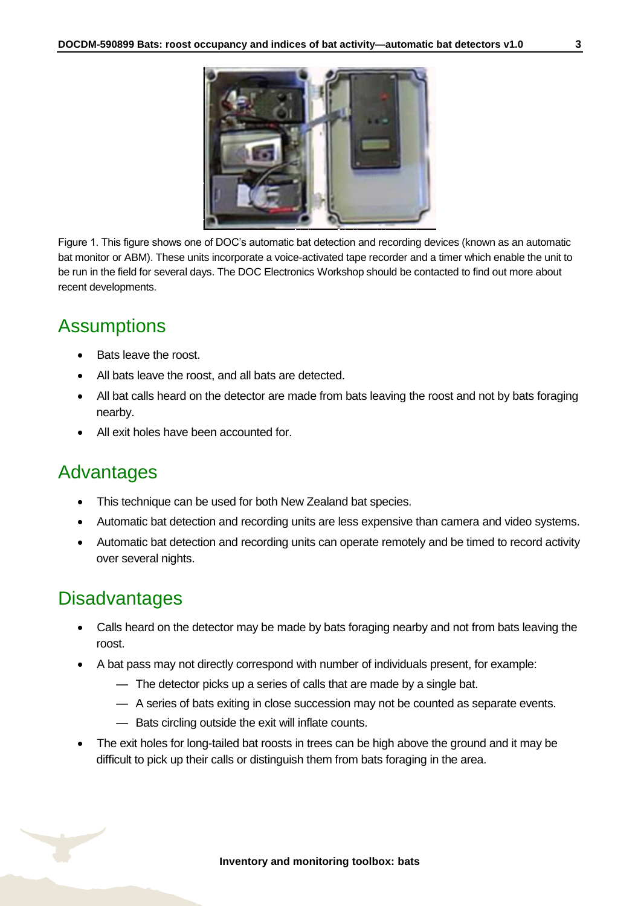

Figure 1. This figure shows one of DOC's automatic bat detection and recording devices (known as an automatic bat monitor or ABM). These units incorporate a voice-activated tape recorder and a timer which enable the unit to be run in the field for several days. The DOC Electronics Workshop should be contacted to find out more about recent developments.

## <span id="page-2-0"></span>**Assumptions**

- Bats leave the roost.
- All bats leave the roost, and all bats are detected.
- All bat calls heard on the detector are made from bats leaving the roost and not by bats foraging nearby.
- All exit holes have been accounted for.

### <span id="page-2-1"></span>Advantages

- This technique can be used for both New Zealand bat species.
- Automatic bat detection and recording units are less expensive than camera and video systems.
- Automatic bat detection and recording units can operate remotely and be timed to record activity over several nights.

## <span id="page-2-2"></span>**Disadvantages**

- Calls heard on the detector may be made by bats foraging nearby and not from bats leaving the roost.
- A bat pass may not directly correspond with number of individuals present, for example:
	- The detector picks up a series of calls that are made by a single bat.
	- A series of bats exiting in close succession may not be counted as separate events.
	- Bats circling outside the exit will inflate counts.
- The exit holes for long-tailed bat roosts in trees can be high above the ground and it may be difficult to pick up their calls or distinguish them from bats foraging in the area.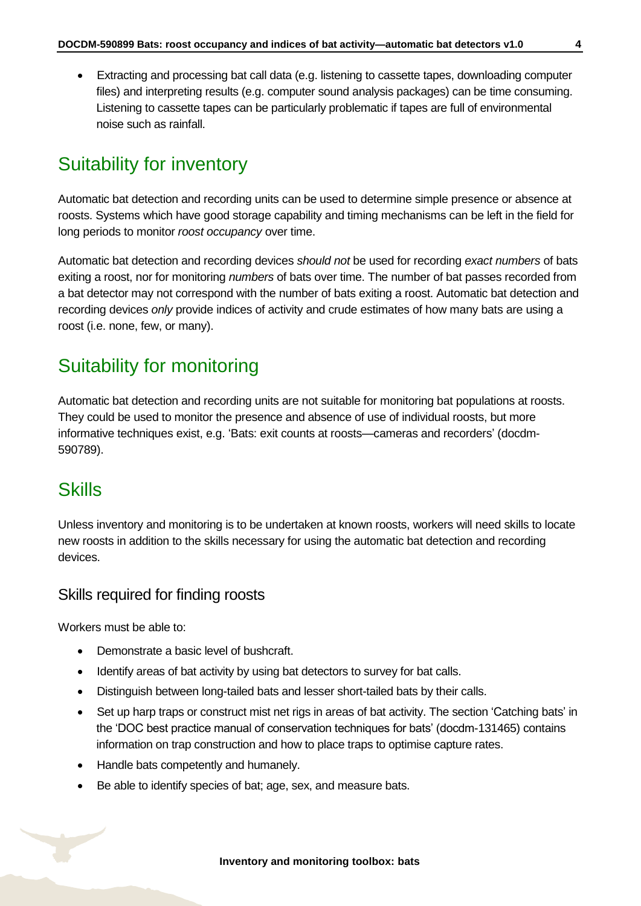Extracting and processing bat call data (e.g. listening to cassette tapes, downloading computer files) and interpreting results (e.g. computer sound analysis packages) can be time consuming. Listening to cassette tapes can be particularly problematic if tapes are full of environmental noise such as rainfall.

## <span id="page-3-0"></span>Suitability for inventory

Automatic bat detection and recording units can be used to determine simple presence or absence at roosts. Systems which have good storage capability and timing mechanisms can be left in the field for long periods to monitor *roost occupancy* over time.

Automatic bat detection and recording devices *should not* be used for recording *exact numbers* of bats exiting a roost, nor for monitoring *numbers* of bats over time. The number of bat passes recorded from a bat detector may not correspond with the number of bats exiting a roost. Automatic bat detection and recording devices *only* provide indices of activity and crude estimates of how many bats are using a roost (i.e. none, few, or many).

### <span id="page-3-1"></span>Suitability for monitoring

Automatic bat detection and recording units are not suitable for monitoring bat populations at roosts. They could be used to monitor the presence and absence of use of individual roosts, but more informative techniques exist, e.g. 'Bats: exit counts at roosts—cameras and recorders' (docdm-590789).

### <span id="page-3-2"></span>**Skills**

Unless inventory and monitoring is to be undertaken at known roosts, workers will need skills to locate new roosts in addition to the skills necessary for using the automatic bat detection and recording devices.

#### Skills required for finding roosts

Workers must be able to:

- Demonstrate a basic level of bushcraft.
- Identify areas of bat activity by using bat detectors to survey for bat calls.
- Distinguish between long-tailed bats and lesser short-tailed bats by their calls.
- Set up harp traps or construct mist net rigs in areas of bat activity. The section 'Catching bats' in the 'DOC best practice manual of conservation techniques for bats' (docdm-131465) contains information on trap construction and how to place traps to optimise capture rates.
- Handle bats competently and humanely.
- Be able to identify species of bat; age, sex, and measure bats.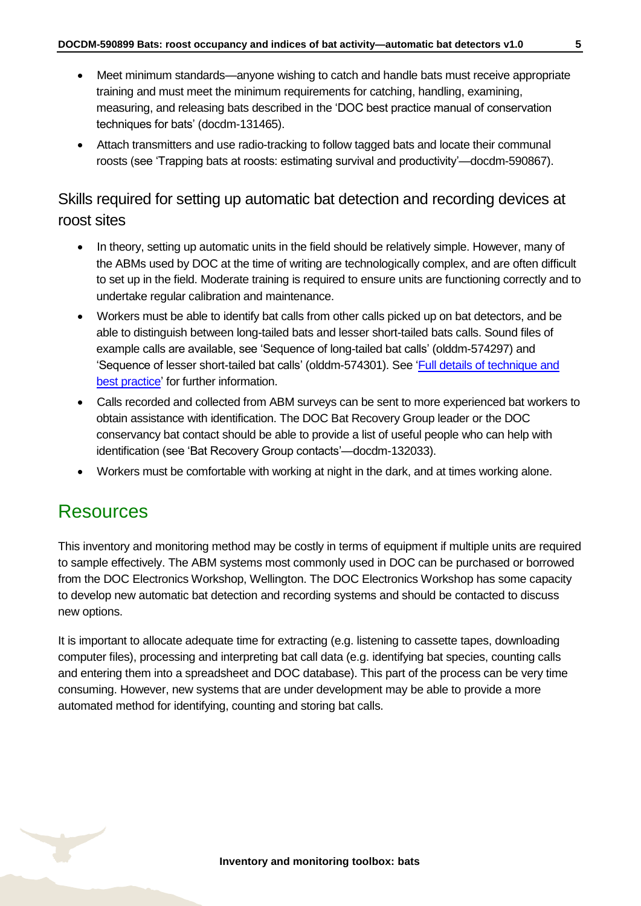- Meet minimum standards—anyone wishing to catch and handle bats must receive appropriate training and must meet the minimum requirements for catching, handling, examining, measuring, and releasing bats described in the 'DOC best practice manual of conservation techniques for bats' (docdm-131465).
- Attach transmitters and use radio-tracking to follow tagged bats and locate their communal roosts (see 'Trapping bats at roosts: estimating survival and productivity'—docdm-590867).

### Skills required for setting up automatic bat detection and recording devices at roost sites

- In theory, setting up automatic units in the field should be relatively simple. However, many of the ABMs used by DOC at the time of writing are technologically complex, and are often difficult to set up in the field. Moderate training is required to ensure units are functioning correctly and to undertake regular calibration and maintenance.
- Workers must be able to identify bat calls from other calls picked up on bat detectors, and be able to distinguish between long-tailed bats and lesser short-tailed bats calls. Sound files of example calls are available, see 'Sequence of long-tailed bat calls' (olddm-574297) and 'Sequence of lesser short-tailed bat calls' (olddm-574301). See ['Full details of technique and](#page-7-1)  [best practice'](#page-7-1) for further information.
- Calls recorded and collected from ABM surveys can be sent to more experienced bat workers to obtain assistance with identification. The DOC Bat Recovery Group leader or the DOC conservancy bat contact should be able to provide a list of useful people who can help with identification (see 'Bat Recovery Group contacts'—docdm-132033).
- Workers must be comfortable with working at night in the dark, and at times working alone.

### <span id="page-4-0"></span>Resources

This inventory and monitoring method may be costly in terms of equipment if multiple units are required to sample effectively. The ABM systems most commonly used in DOC can be purchased or borrowed from the DOC Electronics Workshop, Wellington. The DOC Electronics Workshop has some capacity to develop new automatic bat detection and recording systems and should be contacted to discuss new options.

It is important to allocate adequate time for extracting (e.g. listening to cassette tapes, downloading computer files), processing and interpreting bat call data (e.g. identifying bat species, counting calls and entering them into a spreadsheet and DOC database). This part of the process can be very time consuming. However, new systems that are under development may be able to provide a more automated method for identifying, counting and storing bat calls.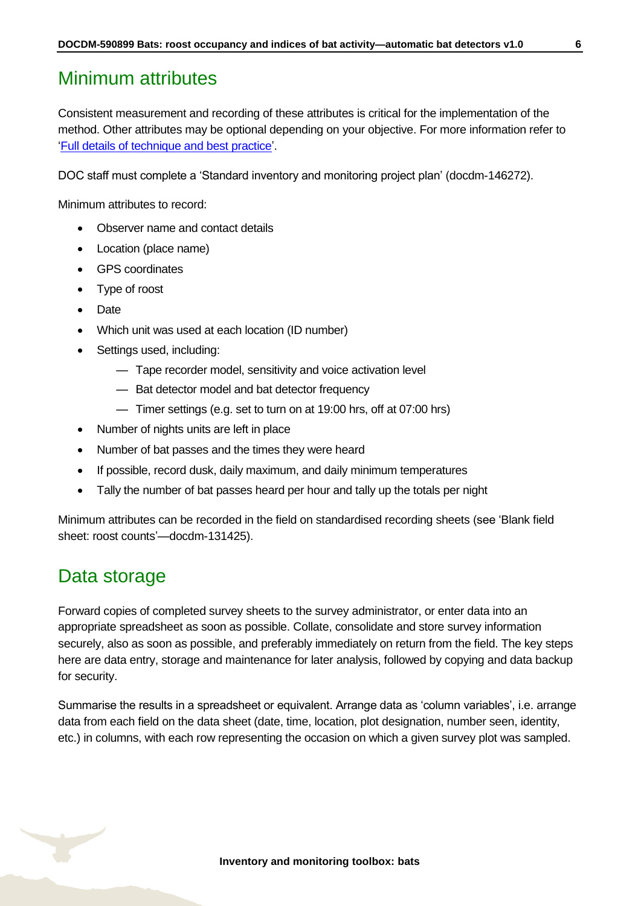## <span id="page-5-0"></span>Minimum attributes

Consistent measurement and recording of these attributes is critical for the implementation of the method. Other attributes may be optional depending on your objective. For more information refer to ['Full details of technique and best practice'](#page-7-1).

DOC staff must complete a 'Standard inventory and monitoring project plan' (docdm-146272).

Minimum attributes to record:

- Observer name and contact details
- Location (place name)
- GPS coordinates
- Type of roost
- Date
- Which unit was used at each location (ID number)
- Settings used, including:
	- Tape recorder model, sensitivity and voice activation level
	- Bat detector model and bat detector frequency
	- Timer settings (e.g. set to turn on at 19:00 hrs, off at 07:00 hrs)
- Number of nights units are left in place
- Number of bat passes and the times they were heard
- If possible, record dusk, daily maximum, and daily minimum temperatures
- Tally the number of bat passes heard per hour and tally up the totals per night

Minimum attributes can be recorded in the field on standardised recording sheets (see 'Blank field sheet: roost counts'—docdm-131425).

## <span id="page-5-1"></span>Data storage

Forward copies of completed survey sheets to the survey administrator, or enter data into an appropriate spreadsheet as soon as possible. Collate, consolidate and store survey information securely, also as soon as possible, and preferably immediately on return from the field. The key steps here are data entry, storage and maintenance for later analysis, followed by copying and data backup for security.

Summarise the results in a spreadsheet or equivalent. Arrange data as 'column variables', i.e. arrange data from each field on the data sheet (date, time, location, plot designation, number seen, identity, etc.) in columns, with each row representing the occasion on which a given survey plot was sampled.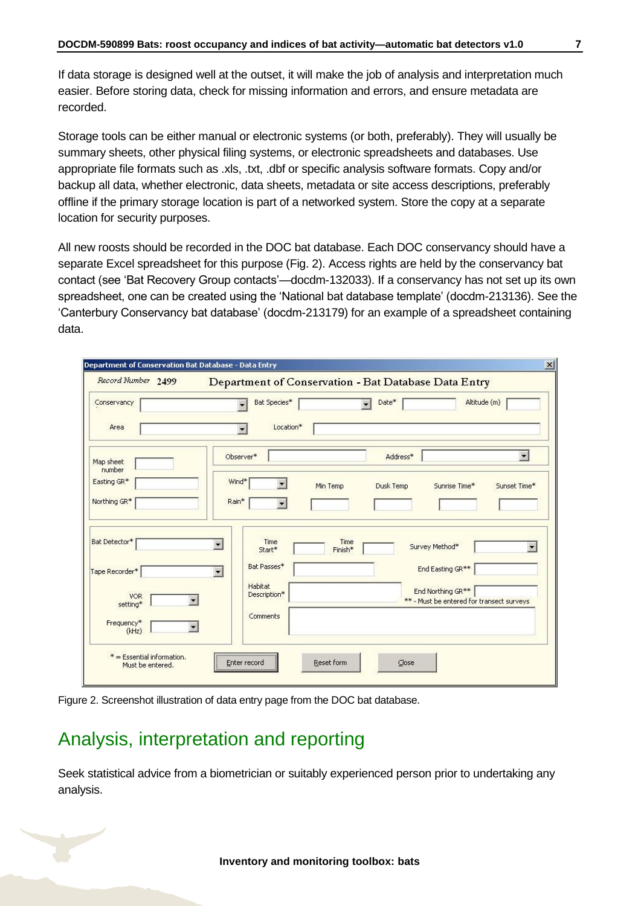If data storage is designed well at the outset, it will make the job of analysis and interpretation much easier. Before storing data, check for missing information and errors, and ensure metadata are recorded.

Storage tools can be either manual or electronic systems (or both, preferably). They will usually be summary sheets, other physical filing systems, or electronic spreadsheets and databases. Use appropriate file formats such as .xls, .txt, .dbf or specific analysis software formats. Copy and/or backup all data, whether electronic, data sheets, metadata or site access descriptions, preferably offline if the primary storage location is part of a networked system. Store the copy at a separate location for security purposes.

All new roosts should be recorded in the DOC bat database. Each DOC conservancy should have a separate Excel spreadsheet for this purpose (Fig. 2). Access rights are held by the conservancy bat contact (see 'Bat Recovery Group contacts'—docdm-132033). If a conservancy has not set up its own spreadsheet, one can be created using the 'National bat database template' (docdm-213136). See the 'Canterbury Conservancy bat database' (docdm-213179) for an example of a spreadsheet containing data.

| Record Number 2499     |                                            | Department of Conservation - Bat Database Data Entry |                                                                            |                          |
|------------------------|--------------------------------------------|------------------------------------------------------|----------------------------------------------------------------------------|--------------------------|
| Conservancy            | Bat Species*                               | Date*<br>$\overline{\phantom{a}}$                    | Altitude (m)                                                               |                          |
| Area                   | Location*                                  |                                                      |                                                                            |                          |
| Map sheet<br>number    | Observer*                                  | Address*                                             |                                                                            | $\blacksquare$           |
| Easting GR*            | Wind*<br>$\overline{\phantom{a}}$          | Min Temp<br>Dusk Temp                                | Sunrise Time*                                                              | Sunset Time*             |
| Northing GR*           | Rain*<br>$\overline{\phantom{a}}$          |                                                      |                                                                            |                          |
| Bat Detector*          | Time<br>$\overline{\phantom{a}}$<br>Start* | Time<br>Finish*                                      | Survey Method*                                                             | $\overline{\phantom{a}}$ |
| Tape Recorder*         | Bat Passes*<br>$\overline{\phantom{a}}$    |                                                      | End Easting GR**                                                           |                          |
| <b>VOR</b><br>setting* | Habitat<br>Description*                    |                                                      | End Northing GR <sup>**</sup><br>** - Must be entered for transect surveys |                          |
| Frequency*<br>(kHz)    | Comments                                   |                                                      |                                                                            |                          |

Figure 2. Screenshot illustration of data entry page from the DOC bat database.

# <span id="page-6-0"></span>Analysis, interpretation and reporting

Seek statistical advice from a biometrician or suitably experienced person prior to undertaking any analysis.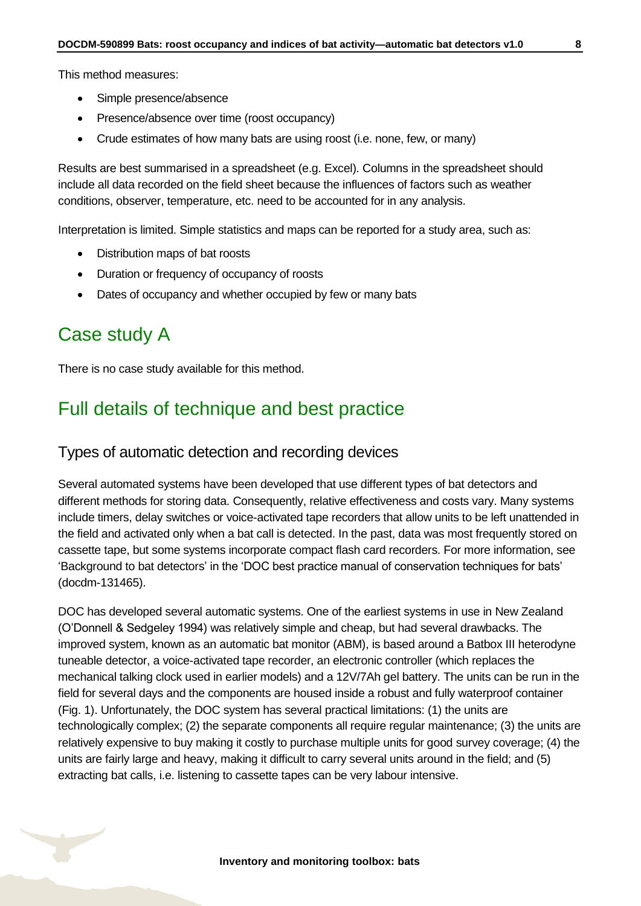This method measures:

- Simple presence/absence
- Presence/absence over time (roost occupancy)
- Crude estimates of how many bats are using roost (i.e. none, few, or many)

Results are best summarised in a spreadsheet (e.g. Excel). Columns in the spreadsheet should include all data recorded on the field sheet because the influences of factors such as weather conditions, observer, temperature, etc. need to be accounted for in any analysis.

Interpretation is limited. Simple statistics and maps can be reported for a study area, such as:

- Distribution maps of bat roosts
- Duration or frequency of occupancy of roosts
- Dates of occupancy and whether occupied by few or many bats

### <span id="page-7-0"></span>Case study A

There is no case study available for this method.

### <span id="page-7-1"></span>Full details of technique and best practice

#### Types of automatic detection and recording devices

Several automated systems have been developed that use different types of bat detectors and different methods for storing data. Consequently, relative effectiveness and costs vary. Many systems include timers, delay switches or voice-activated tape recorders that allow units to be left unattended in the field and activated only when a bat call is detected. In the past, data was most frequently stored on cassette tape, but some systems incorporate compact flash card recorders. For more information, see 'Background to bat detectors' in the 'DOC best practice manual of conservation techniques for bats' (docdm-131465).

DOC has developed several automatic systems. One of the earliest systems in use in New Zealand (O'Donnell & Sedgeley 1994) was relatively simple and cheap, but had several drawbacks. The improved system, known as an automatic bat monitor (ABM), is based around a Batbox III heterodyne tuneable detector, a voice-activated tape recorder, an electronic controller (which replaces the mechanical talking clock used in earlier models) and a 12V/7Ah gel battery. The units can be run in the field for several days and the components are housed inside a robust and fully waterproof container (Fig. 1). Unfortunately, the DOC system has several practical limitations: (1) the units are technologically complex; (2) the separate components all require regular maintenance; (3) the units are relatively expensive to buy making it costly to purchase multiple units for good survey coverage; (4) the units are fairly large and heavy, making it difficult to carry several units around in the field; and (5) extracting bat calls, i.e. listening to cassette tapes can be very labour intensive.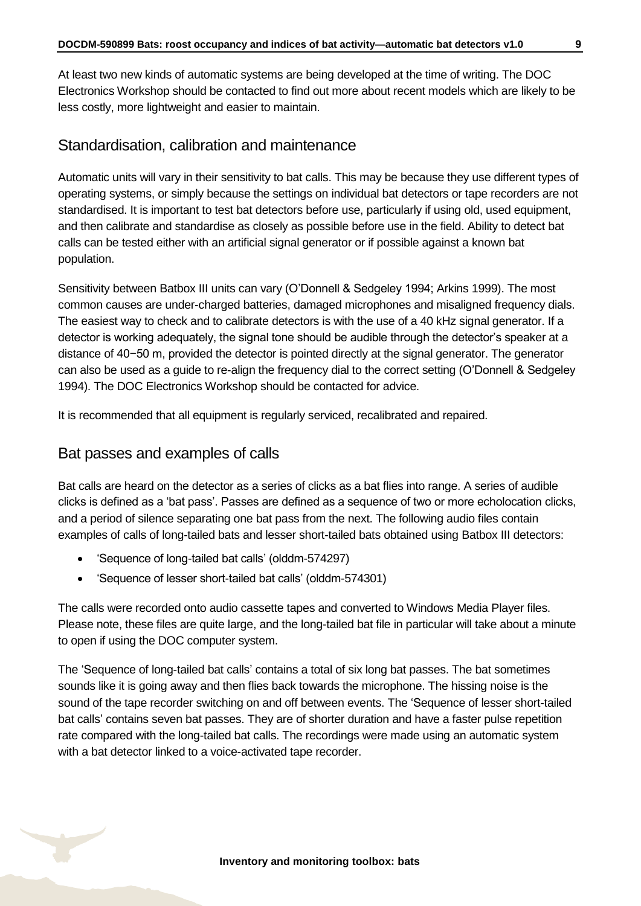At least two new kinds of automatic systems are being developed at the time of writing. The DOC Electronics Workshop should be contacted to find out more about recent models which are likely to be less costly, more lightweight and easier to maintain.

#### Standardisation, calibration and maintenance

Automatic units will vary in their sensitivity to bat calls. This may be because they use different types of operating systems, or simply because the settings on individual bat detectors or tape recorders are not standardised. It is important to test bat detectors before use, particularly if using old, used equipment, and then calibrate and standardise as closely as possible before use in the field. Ability to detect bat calls can be tested either with an artificial signal generator or if possible against a known bat population.

Sensitivity between Batbox III units can vary (O'Donnell & Sedgeley 1994; Arkins 1999). The most common causes are under-charged batteries, damaged microphones and misaligned frequency dials. The easiest way to check and to calibrate detectors is with the use of a 40 kHz signal generator. If a detector is working adequately, the signal tone should be audible through the detector's speaker at a distance of 40−50 m, provided the detector is pointed directly at the signal generator. The generator can also be used as a guide to re-align the frequency dial to the correct setting (O'Donnell & Sedgeley 1994). The DOC Electronics Workshop should be contacted for advice.

It is recommended that all equipment is regularly serviced, recalibrated and repaired.

#### Bat passes and examples of calls

Bat calls are heard on the detector as a series of clicks as a bat flies into range. A series of audible clicks is defined as a 'bat pass'. Passes are defined as a sequence of two or more echolocation clicks, and a period of silence separating one bat pass from the next. The following audio files contain examples of calls of long-tailed bats and lesser short-tailed bats obtained using Batbox III detectors:

- 'Sequence of long-tailed bat calls' (olddm-574297)
- 'Sequence of lesser short-tailed bat calls' (olddm-574301)

The calls were recorded onto audio cassette tapes and converted to Windows Media Player files. Please note, these files are quite large, and the long-tailed bat file in particular will take about a minute to open if using the DOC computer system.

The 'Sequence of long-tailed bat calls' contains a total of six long bat passes. The bat sometimes sounds like it is going away and then flies back towards the microphone. The hissing noise is the sound of the tape recorder switching on and off between events. The 'Sequence of lesser short-tailed bat calls' contains seven bat passes. They are of shorter duration and have a faster pulse repetition rate compared with the long-tailed bat calls. The recordings were made using an automatic system with a bat detector linked to a voice-activated tape recorder.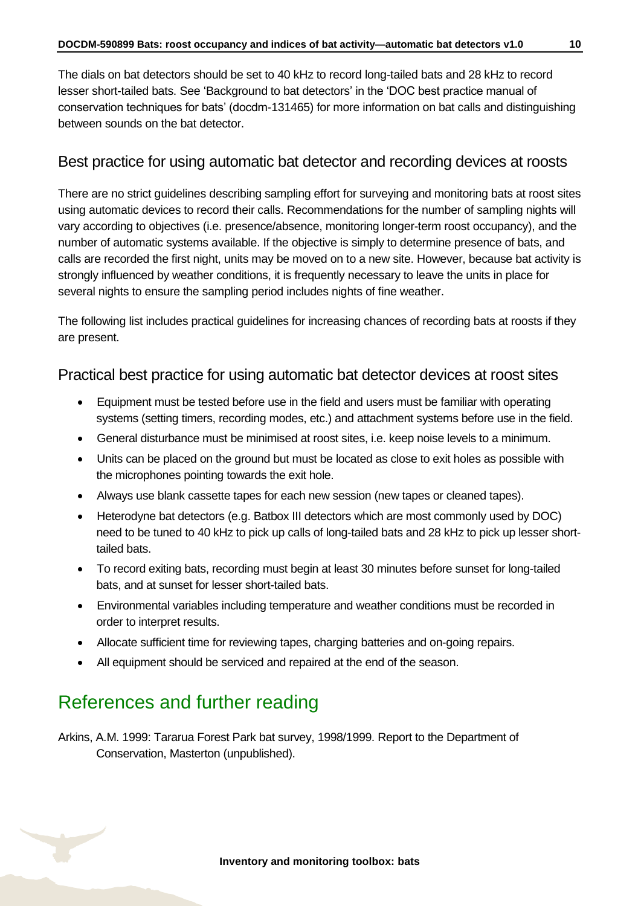The dials on bat detectors should be set to 40 kHz to record long-tailed bats and 28 kHz to record lesser short-tailed bats. See 'Background to bat detectors' in the 'DOC best practice manual of conservation techniques for bats' (docdm-131465) for more information on bat calls and distinguishing between sounds on the bat detector.

#### Best practice for using automatic bat detector and recording devices at roosts

There are no strict guidelines describing sampling effort for surveying and monitoring bats at roost sites using automatic devices to record their calls. Recommendations for the number of sampling nights will vary according to objectives (i.e. presence/absence, monitoring longer-term roost occupancy), and the number of automatic systems available. If the objective is simply to determine presence of bats, and calls are recorded the first night, units may be moved on to a new site. However, because bat activity is strongly influenced by weather conditions, it is frequently necessary to leave the units in place for several nights to ensure the sampling period includes nights of fine weather.

The following list includes practical guidelines for increasing chances of recording bats at roosts if they are present.

#### Practical best practice for using automatic bat detector devices at roost sites

- Equipment must be tested before use in the field and users must be familiar with operating systems (setting timers, recording modes, etc.) and attachment systems before use in the field.
- General disturbance must be minimised at roost sites, i.e. keep noise levels to a minimum.
- Units can be placed on the ground but must be located as close to exit holes as possible with the microphones pointing towards the exit hole.
- Always use blank cassette tapes for each new session (new tapes or cleaned tapes).
- Heterodyne bat detectors (e.g. Batbox III detectors which are most commonly used by DOC) need to be tuned to 40 kHz to pick up calls of long-tailed bats and 28 kHz to pick up lesser shorttailed bats.
- To record exiting bats, recording must begin at least 30 minutes before sunset for long-tailed bats, and at sunset for lesser short-tailed bats.
- Environmental variables including temperature and weather conditions must be recorded in order to interpret results.
- Allocate sufficient time for reviewing tapes, charging batteries and on-going repairs.
- All equipment should be serviced and repaired at the end of the season.

## <span id="page-9-0"></span>References and further reading

Arkins, A.M. 1999: Tararua Forest Park bat survey, 1998/1999. Report to the Department of Conservation, Masterton (unpublished).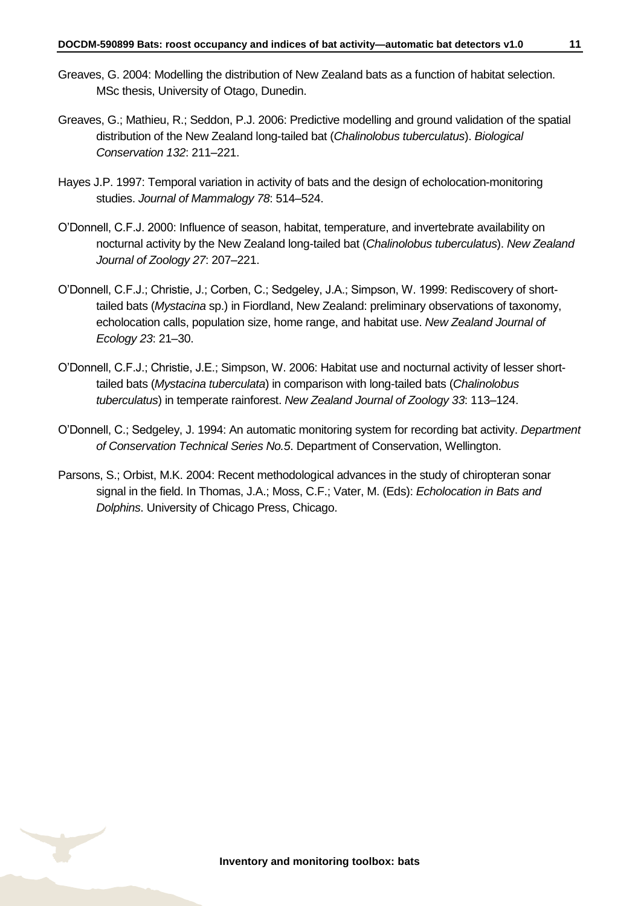- Greaves, G. 2004: Modelling the distribution of New Zealand bats as a function of habitat selection. MSc thesis, University of Otago, Dunedin.
- Greaves, G.; Mathieu, R.; Seddon, P.J. 2006: Predictive modelling and ground validation of the spatial distribution of the New Zealand long-tailed bat (*Chalinolobus tuberculatus*). *Biological Conservation 132*: 211–221.
- Hayes J.P. 1997: Temporal variation in activity of bats and the design of echolocation-monitoring studies. *Journal of Mammalogy 78*: 514–524.
- O'Donnell, C.F.J. 2000: Influence of season, habitat, temperature, and invertebrate availability on nocturnal activity by the New Zealand long-tailed bat (*Chalinolobus tuberculatus*). *New Zealand Journal of Zoology 27*: 207–221.
- O'Donnell, C.F.J.; Christie, J.; Corben, C.; Sedgeley, J.A.; Simpson, W. 1999: Rediscovery of shorttailed bats (*Mystacina* sp.) in Fiordland, New Zealand: preliminary observations of taxonomy, echolocation calls, population size, home range, and habitat use. *New Zealand Journal of Ecology 23*: 21–30.
- O'Donnell, C.F.J.; Christie, J.E.; Simpson, W. 2006: Habitat use and nocturnal activity of lesser shorttailed bats (*Mystacina tuberculata*) in comparison with long-tailed bats (*Chalinolobus tuberculatus*) in temperate rainforest. *New Zealand Journal of Zoology 33*: 113–124.
- O'Donnell, C.; Sedgeley, J. 1994: An automatic monitoring system for recording bat activity. *Department of Conservation Technical Series No.5*. Department of Conservation, Wellington.
- Parsons, S.; Orbist, M.K. 2004: Recent methodological advances in the study of chiropteran sonar signal in the field. In Thomas, J.A.; Moss, C.F.; Vater, M. (Eds): *Echolocation in Bats and Dolphins*. University of Chicago Press, Chicago.